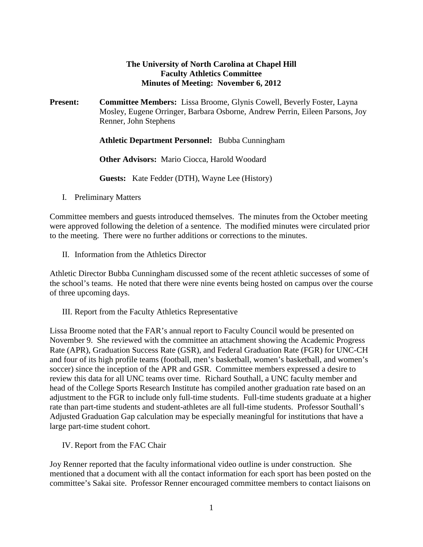### **The University of North Carolina at Chapel Hill Faculty Athletics Committee Minutes of Meeting: November 6, 2012**

**Present: Committee Members:** Lissa Broome, Glynis Cowell, Beverly Foster, Layna Mosley, Eugene Orringer, Barbara Osborne, Andrew Perrin, Eileen Parsons, Joy Renner, John Stephens

#### **Athletic Department Personnel:** Bubba Cunningham

**Other Advisors:** Mario Ciocca, Harold Woodard

**Guests:** Kate Fedder (DTH), Wayne Lee (History)

I. Preliminary Matters

Committee members and guests introduced themselves. The minutes from the October meeting were approved following the deletion of a sentence. The modified minutes were circulated prior to the meeting. There were no further additions or corrections to the minutes.

II. Information from the Athletics Director

Athletic Director Bubba Cunningham discussed some of the recent athletic successes of some of the school's teams. He noted that there were nine events being hosted on campus over the course of three upcoming days.

III. Report from the Faculty Athletics Representative

Lissa Broome noted that the FAR's annual report to Faculty Council would be presented on November 9. She reviewed with the committee an attachment showing the Academic Progress Rate (APR), Graduation Success Rate (GSR), and Federal Graduation Rate (FGR) for UNC-CH and four of its high profile teams (football, men's basketball, women's basketball, and women's soccer) since the inception of the APR and GSR. Committee members expressed a desire to review this data for all UNC teams over time. Richard Southall, a UNC faculty member and head of the College Sports Research Institute has compiled another graduation rate based on an adjustment to the FGR to include only full-time students. Full-time students graduate at a higher rate than part-time students and student-athletes are all full-time students. Professor Southall's Adjusted Graduation Gap calculation may be especially meaningful for institutions that have a large part-time student cohort.

IV. Report from the FAC Chair

Joy Renner reported that the faculty informational video outline is under construction. She mentioned that a document with all the contact information for each sport has been posted on the committee's Sakai site. Professor Renner encouraged committee members to contact liaisons on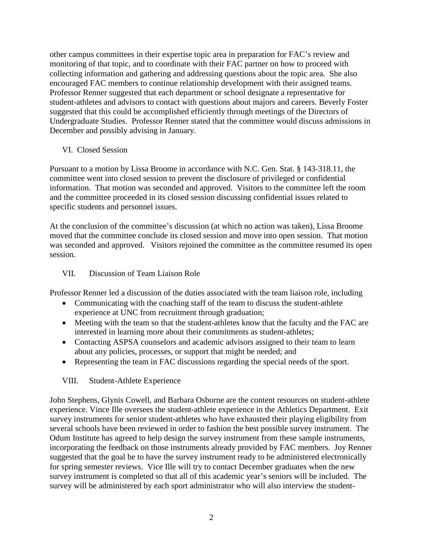other campus committees in their expertise topic area in preparation for FAC's review and monitoring of that topic, and to coordinate with their FAC partner on how to proceed with collecting information and gathering and addressing questions about the topic area. She also encouraged FAC members to continue relationship development with their assigned teams. Professor Renner suggested that each department or school designate a representative for student-athletes and advisors to contact with questions about majors and careers. Beverly Foster suggested that this could be accomplished efficiently through meetings of the Directors of Undergraduate Studies. Professor Renner stated that the committee would discuss admissions in December and possibly advising in January.

### VI. Closed Session

Pursuant to a motion by Lissa Broome in accordance with N.C. Gen. Stat. § 143-318.11, the committee went into closed session to prevent the disclosure of privileged or confidential information. That motion was seconded and approved. Visitors to the committee left the room and the committee proceeded in its closed session discussing confidential issues related to specific students and personnel issues.

At the conclusion of the committee's discussion (at which no action was taken), Lissa Broome moved that the committee conclude its closed session and move into open session. That motion was seconded and approved. Visitors rejoined the committee as the committee resumed its open session.

# VII. Discussion of Team Liaison Role

Professor Renner led a discussion of the duties associated with the team liaison role, including

- Communicating with the coaching staff of the team to discuss the student-athlete experience at UNC from recruitment through graduation;
- Meeting with the team so that the student-athletes know that the faculty and the FAC are interested in learning more about their commitments as student-athletes;
- Contacting ASPSA counselors and academic advisors assigned to their team to learn about any policies, processes, or support that might be needed; and
- Representing the team in FAC discussions regarding the special needs of the sport.

# VIII. Student-Athlete Experience

John Stephens, Glynis Cowell, and Barbara Osborne are the content resources on student-athlete experience. Vince Ille oversees the student-athlete experience in the Athletics Department. Exit survey instruments for senior student-athletes who have exhausted their playing eligibility from several schools have been reviewed in order to fashion the best possible survey instrument. The Odum Institute has agreed to help design the survey instrument from these sample instruments, incorporating the feedback on those instruments already provided by FAC members. Joy Renner suggested that the goal be to have the survey instrument ready to be administered electronically for spring semester reviews. Vice Ille will try to contact December graduates when the new survey instrument is completed so that all of this academic year's seniors will be included. The survey will be administered by each sport administrator who will also interview the student